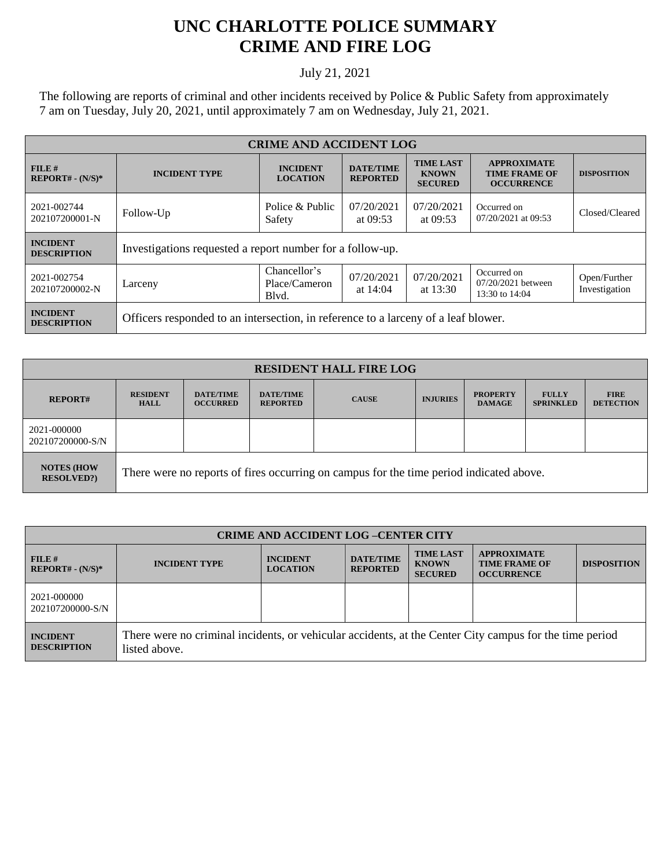## **UNC CHARLOTTE POLICE SUMMARY CRIME AND FIRE LOG**

## July 21, 2021

The following are reports of criminal and other incidents received by Police & Public Safety from approximately 7 am on Tuesday, July 20, 2021, until approximately 7 am on Wednesday, July 21, 2021.

| <b>CRIME AND ACCIDENT LOG</b>         |                                                                                    |                                        |                                     |                                                    |                                                                 |                               |
|---------------------------------------|------------------------------------------------------------------------------------|----------------------------------------|-------------------------------------|----------------------------------------------------|-----------------------------------------------------------------|-------------------------------|
| FILE#<br>$REPORT# - (N/S)*$           | <b>INCIDENT TYPE</b>                                                               | <b>INCIDENT</b><br><b>LOCATION</b>     | <b>DATE/TIME</b><br><b>REPORTED</b> | <b>TIME LAST</b><br><b>KNOWN</b><br><b>SECURED</b> | <b>APPROXIMATE</b><br><b>TIME FRAME OF</b><br><b>OCCURRENCE</b> | <b>DISPOSITION</b>            |
| 2021-002744<br>202107200001-N         | Follow-Up                                                                          | Police & Public<br>Safety              | 07/20/2021<br>at $09:53$            | 07/20/2021<br>at $09:53$                           | Occurred on<br>07/20/2021 at 09:53                              | Closed/Cleared                |
| <b>INCIDENT</b><br><b>DESCRIPTION</b> | Investigations requested a report number for a follow-up.                          |                                        |                                     |                                                    |                                                                 |                               |
| 2021-002754<br>202107200002-N         | Larceny                                                                            | Chancellor's<br>Place/Cameron<br>Blvd. | 07/20/2021<br>at $14:04$            | 07/20/2021<br>at $13:30$                           | Occurred on<br>07/20/2021 between<br>13:30 to 14:04             | Open/Further<br>Investigation |
| <b>INCIDENT</b><br><b>DESCRIPTION</b> | Officers responded to an intersection, in reference to a larceny of a leaf blower. |                                        |                                     |                                                    |                                                                 |                               |

| <b>RESIDENT HALL FIRE LOG</b>         |                                                                                         |                                     |                                     |              |                 |                                  |                                  |                                 |
|---------------------------------------|-----------------------------------------------------------------------------------------|-------------------------------------|-------------------------------------|--------------|-----------------|----------------------------------|----------------------------------|---------------------------------|
| <b>REPORT#</b>                        | <b>RESIDENT</b><br><b>HALL</b>                                                          | <b>DATE/TIME</b><br><b>OCCURRED</b> | <b>DATE/TIME</b><br><b>REPORTED</b> | <b>CAUSE</b> | <b>INJURIES</b> | <b>PROPERTY</b><br><b>DAMAGE</b> | <b>FULLY</b><br><b>SPRINKLED</b> | <b>FIRE</b><br><b>DETECTION</b> |
| 2021-000000<br>202107200000-S/N       |                                                                                         |                                     |                                     |              |                 |                                  |                                  |                                 |
| <b>NOTES (HOW</b><br><b>RESOLVED?</b> | There were no reports of fires occurring on campus for the time period indicated above. |                                     |                                     |              |                 |                                  |                                  |                                 |

| <b>CRIME AND ACCIDENT LOG -CENTER CITY</b> |                                                                                                                          |                                    |                                     |                                                    |                                                                 |                    |
|--------------------------------------------|--------------------------------------------------------------------------------------------------------------------------|------------------------------------|-------------------------------------|----------------------------------------------------|-----------------------------------------------------------------|--------------------|
| $FILE$ #<br>$REPORT# - (N/S)*$             | <b>INCIDENT TYPE</b>                                                                                                     | <b>INCIDENT</b><br><b>LOCATION</b> | <b>DATE/TIME</b><br><b>REPORTED</b> | <b>TIME LAST</b><br><b>KNOWN</b><br><b>SECURED</b> | <b>APPROXIMATE</b><br><b>TIME FRAME OF</b><br><b>OCCURRENCE</b> | <b>DISPOSITION</b> |
| 2021-000000<br>202107200000-S/N            |                                                                                                                          |                                    |                                     |                                                    |                                                                 |                    |
| <b>INCIDENT</b><br><b>DESCRIPTION</b>      | There were no criminal incidents, or vehicular accidents, at the Center City campus for the time period<br>listed above. |                                    |                                     |                                                    |                                                                 |                    |